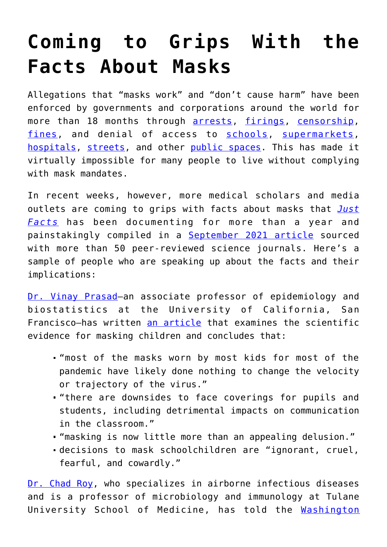## **[Coming to Grips With the](https://intellectualtakeout.org/2022/02/coming-to-grips-with-the-facts-about-masks/) [Facts About Masks](https://intellectualtakeout.org/2022/02/coming-to-grips-with-the-facts-about-masks/)**

Allegations that "masks work" and "don't cause harm" have been enforced by governments and corporations around the world for more than 18 months through [arrests,](https://www.dailymail.co.uk/news/article-8768465/Woman-tased-arrested-not-wearing-face-mask-middle-school-football-game-Ohio.html) [firings](https://nj1015.com/anti-mask-nj-school-nurse-loses-job-stafford-school-board-votes-her-out/), [censorship,](https://support.google.com/youtube/answer/9891785?hl=en) [fines](https://www.nsw.gov.au/covid-19/stay-safe/rules/face-mask-rules), and denial of access to [schools,](https://ny.chalkbeat.org/2020/8/4/21354825/carranza-nyc-schools-mask-requirement) [supermarkets,](https://hits957.iheart.com/content/2020-05-13-man-not-wearing-mask-for-medical-reasons-kicked-out-of-supermarket/) [hospitals](https://www.newsweek.com/woman-broken-finger-outraged-hospital-kicked-her-out-refusing-wear-mask-1515738), [streets](https://keysweekly.com/42/breaking-news-key-west-officers-make-multiple-mask-arrests-wednesday-night/), and other [public spaces.](https://www.skynews.com.au/australia-news/coronavirus/brisbane-man-suffers-heart-attack-after-being-arrested-for-not-wearing-a-mask-while-exercising-in-lockdown/news-story/cc679efd8d27d7cbf5792eef75b6e857) This has made it virtually impossible for many people to live without complying with mask mandates.

In recent weeks, however, more medical scholars and media outlets are coming to grips with facts about masks that *[Just](https://www.justfacts.com/) [Facts](https://www.justfacts.com/)* has been documenting for more than a year and painstakingly compiled in a [September 2021 article](https://www.justfacts.com/news_face_masks_deadly_falsehoods) sourced with more than 50 peer-reviewed science journals. Here's a sample of people who are speaking up about the facts and their implications:

[Dr. Vinay Prasad](http://www.vinayakkprasad.com/)—an associate professor of epidemiology and biostatistics at the University of California, San Francisco—has written [an article](https://www.tabletmag.com/sections/science/articles/cult-masked-schoolchildren) that examines the scientific evidence for masking children and concludes that:

- "most of the masks worn by most kids for most of the pandemic have likely done nothing to change the velocity or trajectory of the virus."
- "there are downsides to face coverings for pupils and students, including detrimental impacts on communication in the classroom."
- "masking is now little more than an appealing delusion."
- decisions to mask schoolchildren are "ignorant, cruel, fearful, and cowardly."

[Dr. Chad Roy](https://medicine.tulane.edu/departments/microbiology-immunology-tnprc/faculty/chad-j-roy-phd), who specializes in airborne infectious diseases and is a professor of microbiology and immunology at Tulane University School of Medicine, has told the [Washington](https://www.washingtonexaminer.com/policy/cloth-masks-newly-criticized-in-omicron-messaging-shift-do-absolutely-nothing)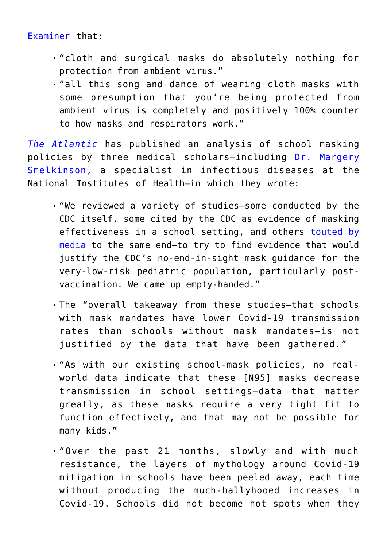## [Examiner](https://www.washingtonexaminer.com/policy/cloth-masks-newly-criticized-in-omicron-messaging-shift-do-absolutely-nothing) that:

- "cloth and surgical masks do absolutely nothing for protection from ambient virus."
- . "all this song and dance of wearing cloth masks with some presumption that you're being protected from ambient virus is completely and positively 100% counter to how masks and respirators work."

*[The Atlantic](https://www.theatlantic.com/ideas/archive/2022/01/kids-masks-schools-weak-science/621133/)* has published an analysis of school masking policies by three medical scholars—including [Dr. Margery](https://sites.google.com/site/margerysmelkinson/) [Smelkinson](https://sites.google.com/site/margerysmelkinson/), a specialist in infectious diseases at the National Institutes of Health—in which they wrote:

- "We reviewed a variety of studies—some conducted by the CDC itself, some cited by the CDC as evidence of masking effectiveness in a school setting, and others [touted by](https://www.theatlantic.com/ideas/archive/2021/09/masks-were-working-all-along/619989/) [media](https://www.theatlantic.com/ideas/archive/2021/09/masks-were-working-all-along/619989/) to the same end—to try to find evidence that would justify the CDC's no-end-in-sight mask guidance for the very-low-risk pediatric population, particularly postvaccination. We came up empty-handed."
- The "overall takeaway from these studies—that schools with mask mandates have lower Covid-19 transmission rates than schools without mask mandates—is not justified by the data that have been gathered."
- "As with our existing school-mask policies, no realworld data indicate that these [N95] masks decrease transmission in school settings—data that matter greatly, as these masks require a very tight fit to function effectively, and that may not be possible for many kids."
- "Over the past 21 months, slowly and with much resistance, the layers of mythology around Covid-19 mitigation in schools have been peeled away, each time without producing the much-ballyhooed increases in Covid-19. Schools did not become hot spots when they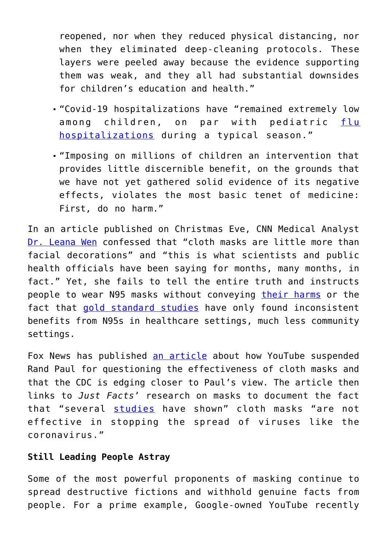reopened, nor when they reduced physical distancing, nor when they eliminated deep-cleaning protocols. These layers were peeled away because the evidence supporting them was weak, and they all had substantial downsides for children's education and health."

- "Covid-19 hospitalizations have "remained extremely low among children, on par with pediatric [flu](https://gis.cdc.gov/GRASP/Fluview/FluHospRates.html) [hospitalizations](https://gis.cdc.gov/GRASP/Fluview/FluHospRates.html) during a typical season."
- "Imposing on millions of children an intervention that provides little discernible benefit, on the grounds that we have not yet gathered solid evidence of its negative effects, violates the most basic tenet of medicine: First, do no harm."

In an article published on Christmas Eve, CNN Medical Analyst [Dr. Leana Wen](https://edition.cnn.com/2021/12/24/health/cloth-mask-omicron-variant-wellness/index.html) confessed that "cloth masks are little more than facial decorations" and "this is what scientists and public health officials have been saying for months, many months, in fact." Yet, she fails to tell the entire truth and instructs people to wear N95 masks without conveying [their harms](https://www.justfacts.com/news_face_masks_deadly_falsehoods#co2) or the fact that [gold standard studies](https://www.justfacts.com/news_face_masks_deadly_falsehoods#gold) have only found inconsistent benefits from N95s in healthcare settings, much less community settings.

Fox News has published [an article](https://www.foxnews.com/politics/rand-paul-youtube-kiss-my-apologize-cdc-mask-guidance) about how YouTube suspended Rand Paul for questioning the effectiveness of cloth masks and that the CDC is edging closer to Paul's view. The article then links to *Just Facts*' research on masks to document the fact that "several [studies](https://www.justfacts.com/news_face_masks_deadly_falsehoods) have shown" cloth masks "are not effective in stopping the spread of viruses like the coronavirus."

## **Still Leading People Astray**

Some of the most powerful proponents of masking continue to spread destructive fictions and withhold genuine facts from people. For a prime example, Google-owned YouTube recently